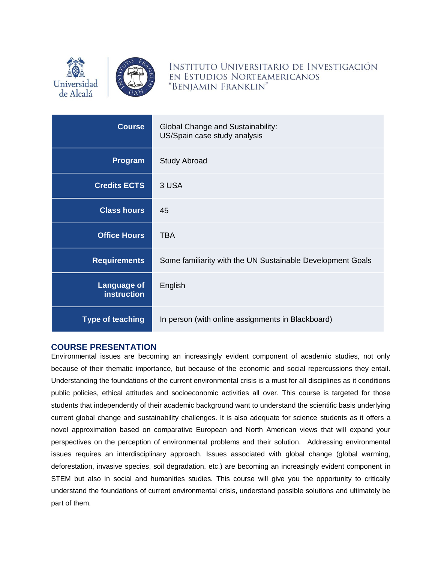



INSTITUTO UNIVERSITARIO DE INVESTIGACIÓN EN ESTUDIOS NORTEAMERICANOS "BENJAMIN FRANKLIN"

| <b>Course</b>                            | Global Change and Sustainability:<br>US/Spain case study analysis |
|------------------------------------------|-------------------------------------------------------------------|
| <b>Program</b>                           | <b>Study Abroad</b>                                               |
| <b>Credits ECTS</b>                      | 3 USA                                                             |
| <b>Class hours</b>                       | 45                                                                |
| <b>Office Hours</b>                      | <b>TBA</b>                                                        |
| <b>Requirements</b>                      | Some familiarity with the UN Sustainable Development Goals        |
| <b>Language of</b><br><b>instruction</b> | English                                                           |
| <b>Type of teaching</b>                  | In person (with online assignments in Blackboard)                 |

### **COURSE PRESENTATION**

Environmental issues are becoming an increasingly evident component of academic studies, not only because of their thematic importance, but because of the economic and social repercussions they entail. Understanding the foundations of the current environmental crisis is a must for all disciplines as it conditions public policies, ethical attitudes and socioeconomic activities all over. This course is targeted for those students that independently of their academic background want to understand the scientific basis underlying current global change and sustainability challenges. It is also adequate for science students as it offers a novel approximation based on comparative European and North American views that will expand your perspectives on the perception of environmental problems and their solution. Addressing environmental issues requires an interdisciplinary approach. Issues associated with global change (global warming, deforestation, invasive species, soil degradation, etc.) are becoming an increasingly evident component in STEM but also in social and humanities studies. This course will give you the opportunity to critically understand the foundations of current environmental crisis, understand possible solutions and ultimately be part of them.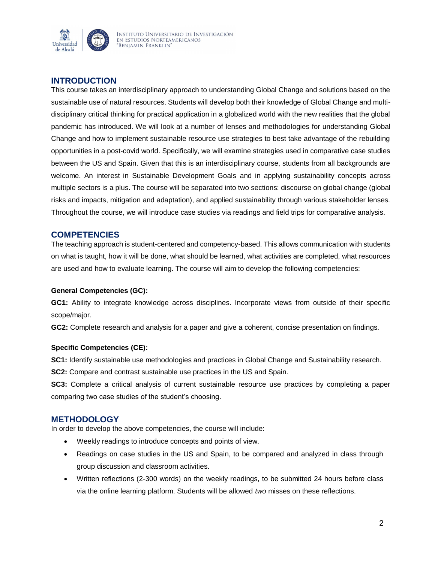

## **INTRODUCTION**

This course takes an interdisciplinary approach to understanding Global Change and solutions based on the sustainable use of natural resources. Students will develop both their knowledge of Global Change and multidisciplinary critical thinking for practical application in a globalized world with the new realities that the global pandemic has introduced. We will look at a number of lenses and methodologies for understanding Global Change and how to implement sustainable resource use strategies to best take advantage of the rebuilding opportunities in a post-covid world. Specifically, we will examine strategies used in comparative case studies between the US and Spain. Given that this is an interdisciplinary course, students from all backgrounds are welcome. An interest in Sustainable Development Goals and in applying sustainability concepts across multiple sectors is a plus. The course will be separated into two sections: discourse on global change (global risks and impacts, mitigation and adaptation), and applied sustainability through various stakeholder lenses. Throughout the course, we will introduce case studies via readings and field trips for comparative analysis.

#### **COMPETENCIES**

The teaching approach is student-centered and competency-based. This allows communication with students on what is taught, how it will be done, what should be learned, what activities are completed, what resources are used and how to evaluate learning. The course will aim to develop the following competencies:

#### **General Competencies (GC):**

**GC1:** Ability to integrate knowledge across disciplines. Incorporate views from outside of their specific scope/major.

**GC2:** Complete research and analysis for a paper and give a coherent, concise presentation on findings.

#### **Specific Competencies (CE):**

**SC1:** Identify sustainable use methodologies and practices in Global Change and Sustainability research.

**SC2:** Compare and contrast sustainable use practices in the US and Spain.

**SC3:** Complete a critical analysis of current sustainable resource use practices by completing a paper comparing two case studies of the student's choosing.

#### **METHODOLOGY**

In order to develop the above competencies, the course will include:

- Weekly readings to introduce concepts and points of view.
- Readings on case studies in the US and Spain, to be compared and analyzed in class through group discussion and classroom activities.
- Written reflections (2-300 words) on the weekly readings, to be submitted 24 hours before class via the online learning platform. Students will be allowed *two* misses on these reflections.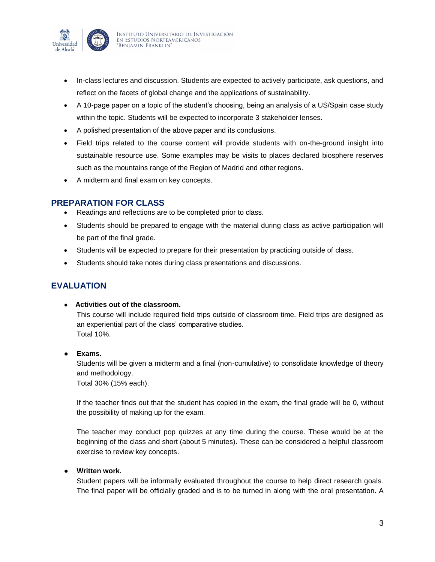

- In-class lectures and discussion. Students are expected to actively participate, ask questions, and reflect on the facets of global change and the applications of sustainability.
- A 10-page paper on a topic of the student's choosing, being an analysis of a US/Spain case study within the topic. Students will be expected to incorporate 3 stakeholder lenses.
- A polished presentation of the above paper and its conclusions.
- Field trips related to the course content will provide students with on-the-ground insight into sustainable resource use. Some examples may be visits to places declared biosphere reserves such as the mountains range of the Region of Madrid and other regions.
- A midterm and final exam on key concepts.

## **PREPARATION FOR CLASS**

- Readings and reflections are to be completed prior to class.
- Students should be prepared to engage with the material during class as active participation will be part of the final grade.
- Students will be expected to prepare for their presentation by practicing outside of class.
- Students should take notes during class presentations and discussions.

# **EVALUATION**

● **Activities out of the classroom.** 

This course will include required field trips outside of classroom time. Field trips are designed as an experiential part of the class' comparative studies. Total 10%.

● **Exams.** 

Students will be given a midterm and a final (non-cumulative) to consolidate knowledge of theory and methodology.

Total 30% (15% each).

If the teacher finds out that the student has copied in the exam, the final grade will be 0, without the possibility of making up for the exam.

The teacher may conduct pop quizzes at any time during the course. These would be at the beginning of the class and short (about 5 minutes). These can be considered a helpful classroom exercise to review key concepts.

#### **Written work.**

Student papers will be informally evaluated throughout the course to help direct research goals. The final paper will be officially graded and is to be turned in along with the oral presentation. A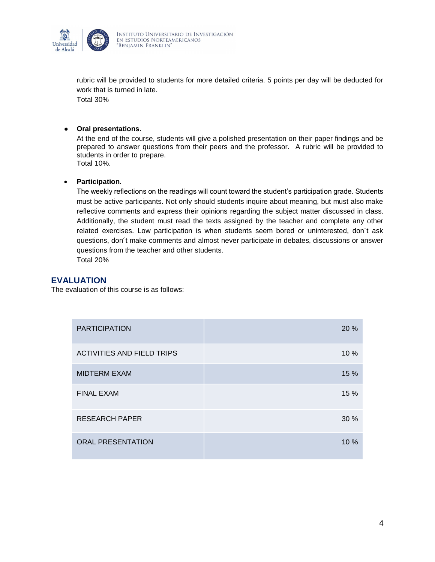

rubric will be provided to students for more detailed criteria. 5 points per day will be deducted for work that is turned in late.

Total 30%

#### ● **Oral presentations.**

At the end of the course, students will give a polished presentation on their paper findings and be prepared to answer questions from their peers and the professor. A rubric will be provided to students in order to prepare. Total 10%.

#### **Participation.**

The weekly reflections on the readings will count toward the student's participation grade. Students must be active participants. Not only should students inquire about meaning, but must also make reflective comments and express their opinions regarding the subject matter discussed in class. Additionally, the student must read the texts assigned by the teacher and complete any other related exercises. Low participation is when students seem bored or uninterested, don´t ask questions, don´t make comments and almost never participate in debates, discussions or answer questions from the teacher and other students. Total 20%

#### **EVALUATION**

The evaluation of this course is as follows:

| <b>PARTICIPATION</b>              | 20 % |
|-----------------------------------|------|
| <b>ACTIVITIES AND FIELD TRIPS</b> | 10 % |
| <b>MIDTERM EXAM</b>               | 15 % |
| <b>FINAL EXAM</b>                 | 15 % |
| <b>RESEARCH PAPER</b>             | 30%  |
| <b>ORAL PRESENTATION</b>          | 10%  |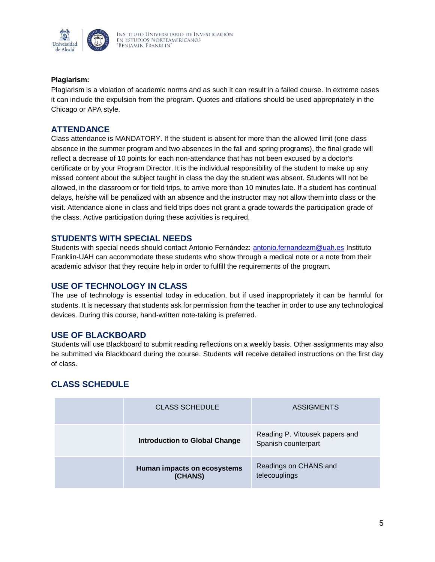

#### **Plagiarism:**

Plagiarism is a violation of academic norms and as such it can result in a failed course. In extreme cases it can include the expulsion from the program. Quotes and citations should be used appropriately in the Chicago or APA style.

## **ATTENDANCE**

Class attendance is MANDATORY. If the student is absent for more than the allowed limit (one class absence in the summer program and two absences in the fall and spring programs), the final grade will reflect a decrease of 10 points for each non-attendance that has not been excused by a doctor's certificate or by your Program Director. It is the individual responsibility of the student to make up any missed content about the subject taught in class the day the student was absent. Students will not be allowed, in the classroom or for field trips, to arrive more than 10 minutes late. If a student has continual delays, he/she will be penalized with an absence and the instructor may not allow them into class or the visit. Attendance alone in class and field trips does not grant a grade towards the participation grade of the class. Active participation during these activities is required.

## **STUDENTS WITH SPECIAL NEEDS**

Students with special needs should contact Antonio Fernández: [antonio.fernandezm@uah.es](mailto:antonio.fernandezm@uah.es) Instituto Franklin-UAH can accommodate these students who show through a medical note or a note from their academic advisor that they require help in order to fulfill the requirements of the program.

### **USE OF TECHNOLOGY IN CLASS**

The use of technology is essential today in education, but if used inappropriately it can be harmful for students. It is necessary that students ask for permission from the teacher in order to use any technological devices. During this course, hand-written note-taking is preferred.

### **USE OF BLACKBOARD**

Students will use Blackboard to submit reading reflections on a weekly basis. Other assignments may also be submitted via Blackboard during the course. Students will receive detailed instructions on the first day of class.

## **CLASS SCHEDULE**

| <b>CLASS SCHEDULE</b>                  | <b>ASSIGMENTS</b>                                     |
|----------------------------------------|-------------------------------------------------------|
| <b>Introduction to Global Change</b>   | Reading P. Vitousek papers and<br>Spanish counterpart |
| Human impacts on ecosystems<br>(CHANS) | Readings on CHANS and<br>telecouplings                |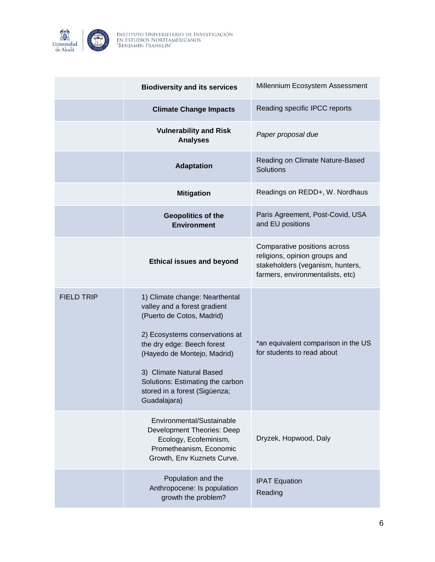

|                   | <b>Biodiversity and its services</b>                                                                                                                                                                                                                                                                        | Millennium Ecosystem Assessment                                                                                                       |
|-------------------|-------------------------------------------------------------------------------------------------------------------------------------------------------------------------------------------------------------------------------------------------------------------------------------------------------------|---------------------------------------------------------------------------------------------------------------------------------------|
|                   | <b>Climate Change Impacts</b>                                                                                                                                                                                                                                                                               | Reading specific IPCC reports                                                                                                         |
|                   | <b>Vulnerability and Risk</b><br><b>Analyses</b>                                                                                                                                                                                                                                                            | Paper proposal due                                                                                                                    |
|                   | <b>Adaptation</b>                                                                                                                                                                                                                                                                                           | Reading on Climate Nature-Based<br>Solutions                                                                                          |
|                   | <b>Mitigation</b>                                                                                                                                                                                                                                                                                           | Readings on REDD+, W. Nordhaus                                                                                                        |
|                   | <b>Geopolitics of the</b><br><b>Environment</b>                                                                                                                                                                                                                                                             | Paris Agreement, Post-Covid, USA<br>and EU positions                                                                                  |
|                   | <b>Ethical issues and beyond</b>                                                                                                                                                                                                                                                                            | Comparative positions across<br>religions, opinion groups and<br>stakeholders (veganism, hunters,<br>farmers, environmentalists, etc) |
| <b>FIELD TRIP</b> | 1) Climate change: Nearthental<br>valley and a forest gradient<br>(Puerto de Cotos, Madrid)<br>2) Ecosystems conservations at<br>the dry edge: Beech forest<br>(Hayedo de Montejo, Madrid)<br>3) Climate Natural Based<br>Solutions: Estimating the carbon<br>stored in a forest (Sigüenza;<br>Guadalajara) | *an equivalent comparison in the US<br>for students to read about                                                                     |
|                   | Environmental/Sustainable<br>Development Theories: Deep<br>Ecology, Ecofeminism,<br>Prometheanism, Economic<br>Growth, Env Kuznets Curve.                                                                                                                                                                   | Dryzek, Hopwood, Daly                                                                                                                 |
|                   | Population and the<br>Anthropocene: Is population<br>growth the problem?                                                                                                                                                                                                                                    | <b>IPAT Equation</b><br>Reading                                                                                                       |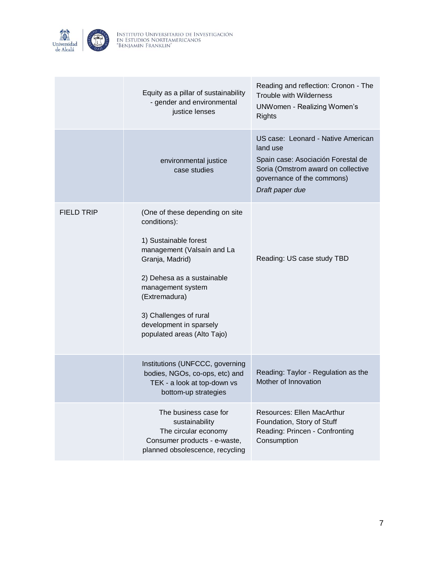

|                   | Equity as a pillar of sustainability<br>- gender and environmental<br>justice lenses                                                                                                                                                                                              | Reading and reflection: Cronon - The<br><b>Trouble with Wilderness</b><br><b>UNWomen - Realizing Women's</b><br><b>Rights</b>                                               |
|-------------------|-----------------------------------------------------------------------------------------------------------------------------------------------------------------------------------------------------------------------------------------------------------------------------------|-----------------------------------------------------------------------------------------------------------------------------------------------------------------------------|
|                   | environmental justice<br>case studies                                                                                                                                                                                                                                             | US case: Leonard - Native American<br>land use<br>Spain case: Asociación Forestal de<br>Soria (Omstrom award on collective<br>governance of the commons)<br>Draft paper due |
| <b>FIELD TRIP</b> | (One of these depending on site<br>conditions):<br>1) Sustainable forest<br>management (Valsaín and La<br>Granja, Madrid)<br>2) Dehesa as a sustainable<br>management system<br>(Extremadura)<br>3) Challenges of rural<br>development in sparsely<br>populated areas (Alto Tajo) | Reading: US case study TBD                                                                                                                                                  |
|                   | Institutions (UNFCCC, governing<br>bodies, NGOs, co-ops, etc) and<br>TEK - a look at top-down vs<br>bottom-up strategies                                                                                                                                                          | Reading: Taylor - Regulation as the<br>Mother of Innovation                                                                                                                 |
|                   | The business case for<br>sustainability<br>The circular economy<br>Consumer products - e-waste,<br>planned obsolescence, recycling                                                                                                                                                | <b>Resources: Ellen MacArthur</b><br>Foundation, Story of Stuff<br>Reading: Princen - Confronting<br>Consumption                                                            |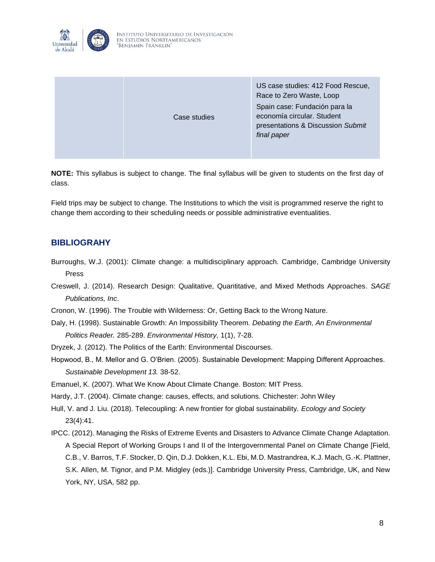

|  | Case studies | US case studies: 412 Food Rescue,<br>Race to Zero Waste, Loop<br>Spain case: Fundación para la<br>economía circular. Student<br>presentations & Discussion Submit<br>final paper |
|--|--------------|----------------------------------------------------------------------------------------------------------------------------------------------------------------------------------|
|--|--------------|----------------------------------------------------------------------------------------------------------------------------------------------------------------------------------|

**NOTE:** This syllabus is subject to change. The final syllabus will be given to students on the first day of class.

Field trips may be subject to change. The Institutions to which the visit is programmed reserve the right to change them according to their scheduling needs or possible administrative eventualities.

## **BIBLIOGRAHY**

- Burroughs, W.J. (2001): Climate change: a multidisciplinary approach. Cambridge, Cambridge University Press
- Creswell, J. (2014). Research Design: Qualitative, Quantitative, and Mixed Methods Approaches. *SAGE Publications, Inc*.

Cronon, W. (1996). The Trouble with Wilderness: Or, Getting Back to the Wrong Nature.

- Daly, H. (1998). Sustainable Growth: An Impossibility Theorem. *Debating the Earth, An Environmental Politics Reader.* 285-289. *Environmental History,* 1(1), 7-28.
- Dryzek, J. (2012). The Politics of the Earth: Environmental Discourses.
- Hopwood, B., M. Mellor and G. O'Brien. (2005). Sustainable Development: Mapping Different Approaches. *Sustainable Development 13.* 38-52.

Emanuel, K. (2007). What We Know About Climate Change. Boston: MIT Press.

Hardy, J.T. (2004). Climate change: causes, effects, and solutions. Chichester: John Wiley

Hull, V. and J. Liu. (2018). Telecoupling: A new frontier for global sustainability. *Ecology and Society* 23(4):41.

IPCC. (2012). Managing the Risks of Extreme Events and Disasters to Advance Climate Change Adaptation. A Special Report of Working Groups I and II of the Intergovernmental Panel on Climate Change [Field, C.B., V. Barros, T.F. Stocker, D. Qin, D.J. Dokken, K.L. Ebi, M.D. Mastrandrea, K.J. Mach, G.-K. Plattner, S.K. Allen, M. Tignor, and P.M. Midgley (eds.)]. Cambridge University Press, Cambridge, UK, and New York, NY, USA, 582 pp.